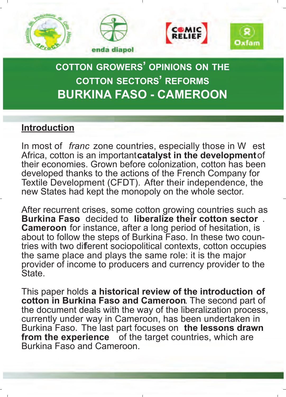

# **COTTON GROWERS' OPINIONS ON THE COTTON SECTORS' REFORMS BURKINA FASO - CAMEROON**

# **Introduction**

In most of *franc* zone countries, especially those in W est Africa, cotton is an important **catalyst in the development**of their economies. Grown before colonization, cotton has been developed thanks to the actions of the French Company for Textile Development (CFDT). After their independence, the new States had kept the monopoly on the whole sector.

After recurrent crises, some cotton growing countries such as **Burkina Faso** decided to **liberalize their cotton sector** . **Cameroon** for instance, after a long period of hesitation, is about to follow the steps of Burkina Faso. In these two countries with two different sociopolitical contexts, cotton occupies the same place and plays the same role: it is the major provider of income to producers and currency provider to the State.

This paper holds **a historical review of the introduction of cotton in Burkina Faso and Cameroon**. The second part of the document deals with the way of the liberalization process, currently under way in Cameroon, has been undertaken in Burkina Faso. The last part focuses on **the lessons drawn from the experience** of the target countries, which are Burkina Faso and Cameroon.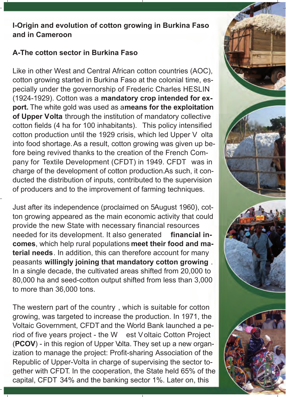### **I-Origin and evolution of cotton growing in Burkina Faso and in Cameroon**

#### **A-The cotton sector in Burkina Faso**

Like in other West and Central African cotton countries (AOC), cotton growing started in Burkina Faso at the colonial time, especially under the governorship of Frederic Charles HESLIN (1924-1929). Cotton was a **mandatory crop intended for export.** The white gold was used as a **means for the exploitation of Upper Volta** through the institution of mandatory collective cotton fields (4 ha for 100 inhabitants). This policy intensified cotton production until the 1929 crisis, which led Upper V olta into food shortage. As a result, cotton growing was given up before being revived thanks to the creation of the French Company for Textile Development (CFDT) in 1949. CFDT was in charge of the development of cotton production. As such, it conducted the distribution of inputs, contributed to the supervision of producers and to the improvement of farming techniques.

Just after its independence (proclaimed on 5August 1960), cotton growing appeared as the main economic activity that could provide the new State with necessary financial resources needed for its development. It also generated **financial incomes**, which help rural populations **meet their food and material needs**. In addition, this can therefore account for many peasants **willingly joining that mandatory cotton growing** . In a single decade, the cultivated areas shifted from 20,000 to 80,000 ha and seed-cotton output shifted from less than 3,000 to more than 36,000 tons.

The western part of the country , which is suitable for cotton growing, was targeted to increase the production. In 1971, the Voltaic Government, CFDT and the World Bank launched a period of five years project - the W est Voltaic Cotton Project (**PCOV**) - in this region of Upper Volta. They set up a new organization to manage the project: Profit-sharing Association of the Republic of Upper-Volta in charge of supervising the sector together with CFDT. In the cooperation, the State held 65% of the capital, CFDT 34% and the banking sector 1%. Later on, this

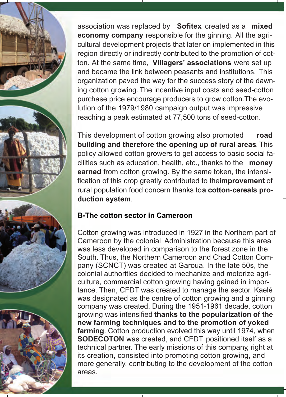association was replaced by **Sofitex** created as a **mixed economy company** responsible for the ginning. All the agricultural development projects that later on implemented in this region directly or indirectly contributed to the promotion of cotton. At the same time, **Villagers' associations** were set up and became the link between peasants and institutions. This organization paved the way for the success story of the dawning cotton growing. The incentive input costs and seed-cotton purchase price encourage producers to grow cotton. The evolution of the 1979/1980 campaign output was impressive reaching a peak estimated at 77,500 tons of seed-cotton.

This development of cotton growing also promoted **road building and therefore the opening up of rural areas**. This policy allowed cotton growers to get access to basic social facilities such as education, health, etc., thanks to the **money earned** from cotton growing. By the same token, the intensification of this crop greatly contributed to the**improvement** of rural population food concern thanks to**a cotton-cereals production system**.

# **B-The cotton sector in Cameroon**

Cotton growing was introduced in 1927 in the Northern part of Cameroon by the colonial Administration because this area was less developed in comparison to the forest zone in the South. Thus, the Northern Cameroon and Chad Cotton Company (SCNCT) was created at Garoua. In the late 50s, the colonial authorities decided to mechanize and motorize agriculture, commercial cotton growing having gained in importance. Then, CFDT was created to manage the sector. Kaelé was designated as the centre of cotton growing and a ginning company was created. During the 1951-1961 decade, cotton growing was intensified **thanks to the popularization of the new farming techniques and to the promotion of yoked farming**. Cotton production evolved this way until 1974, when **SODECOTON** was created, and CFDT positioned itself as a technical partner. The early missions of this company, right at its creation, consisted into promoting cotton growing, and more generally, contributing to the development of the cotton areas.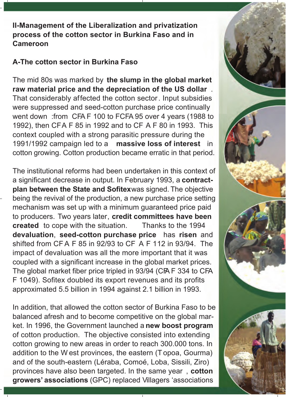**II-Management of the Liberalization and privatization process of the cotton sector in Burkina Faso and in Cameroon**

#### **A-The cotton sector in Burkina Faso**

The mid 80s was marked by **the slump in the global market raw material price and the depreciation of the US dollar** . That considerably affected the cotton sector. Input subsidies were suppressed and seed-cotton purchase price continually went down :from CFA F 100 to FCFA 95 over 4 years (1988 to 1992), then CFA F 85 in 1992 and to CF A F 80 in 1993. This context coupled with a strong parasitic pressure during the 1991/1992 campaign led to a **massive loss of interest** in cotton growing. Cotton production became erratic in that period.

The institutional reforms had been undertaken in this context of a significant decrease in output. In February 1993, a **contractplan between the State and Sofitex**was signed. The objective being the revival of the production, a new purchase price setting mechanism was set up with a minimum guaranteed price paid to producers. Two years later, **credit committees have been created** to cope with the situation. Thanks to the 1994 **devaluation**, **seed-cotton purchase price** has **risen** and shifted from CF A F 85 in 92/93 to CF A F 112 in 93/94. The impact of devaluation was all the more important that it was coupled with a significant increase in the global market prices. The global market fiber price tripled in 93/94 (CFA F 334 to CFA F 1049). Sofitex doubled its export revenues and its profits approximated 5.5 billion in 1994 against 2.1 billion in 1993.

In addition, that allowed the cotton sector of Burkina Faso to be balanced afresh and to become competitive on the global market. In 1996, the Government launched a **new boost program** of cotton production. The objective consisted into extending cotton growing to new areas in order to reach 300.000 tons. In addition to the W est provinces, the eastern (T opoa, Gourma) and of the south-eastern (Léraba, Comoé, Loba, Sissili, Ziro) provinces have also been targeted. In the same year , **cotton growers' associations** (GPC) replaced Villagers 'associations

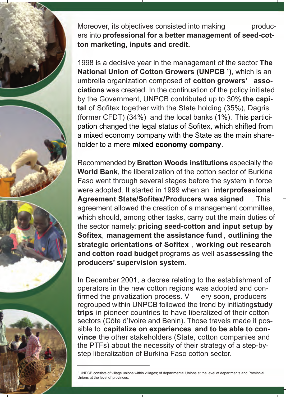Moreover, its objectives consisted into making producers into **professional for a better management of seed-cotton marketing, inputs and credit.**

1998 is a decisive year in the management of the sector. **The National Union of Cotton Growers (UNPCB 1)**, which is an umbrella organization composed of **cotton growers' associations** was created. In the continuation of the policy initiated by the Government, UNPCB contributed up to 30% **the capital** of Sofitex together with the State holding (35%), Dagris (former CFDT) (34%) and the local banks (1%). This participation changed the legal status of Sofitex, which shifted from a mixed economy company with the State as the main shareholder to a mere **mixed economy company**.

Recommended by **Bretton Woods institutions** especially the **World Bank**, the liberalization of the cotton sector of Burkina Faso went through several stages before the system in force were adopted. It started in 1999 when an **interprofessional Agreement State/Sofitex/Producers was signed** . This agreement allowed the creation of a management committee, which should, among other tasks, carry out the main duties of the sector namely: **pricing seed-cotton and input setup by Sofitex**, **management the assistance fund** , **outlining the strategic orientations of Sofitex** , **working out research and cotton road budget** programs as well as **assessing the producers' supervision system**.

In December 2001, a decree relating to the establishment of operators in the new cotton regions was adopted and con-<br>firmed the privatization process. V ery soon, producers firmed the privatization process. V regrouped within UNPCB followed the trend by initiating **study trips** in pioneer countries to have liberalized of their cotton sectors (Côte d'Ivoire and Benin). Those travels made it possible to **capitalize on experiences and to be able to convince** the other stakeholders (State, cotton companies and the PTFs) about the necessity of their strategy of a step-bystep liberalization of Burkina Faso cotton sector.

<sup>1</sup> UNPCB consists of village unions within villages; of departmental Unions at the level of departments and Provincial Unions at the level of provinces.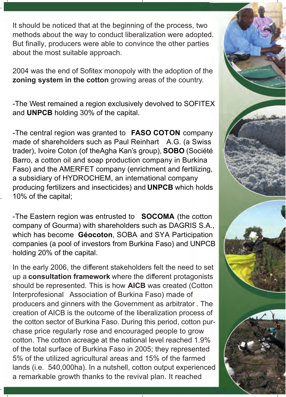It should be noticed that at the beginning of the process, two methods about the way to conduct liberalization were adopted. But finally, producers were able to convince the other parties about the most suitable approach.

2004 was the end of Sofitex monopoly with the adoption of the **zoning system in the cotton** growing areas of the country.

-The West remained a region exclusively devolved to SOFITEX and **UNPCB** holding 30% of the capital.

-The central region was granted to **FASO COTON** company made of shareholders such as Paul Reinhart A.G. (a Swiss trader), Ivoire Coton (of the Agha Kan's group), **SOBO** (Société Barro, a cotton oil and soap production company in Burkina Faso) and the AMERFET company (enrichment and fertilizing, a subsidiary of HYDROCHEM, an international company producing fertilizers and insecticides) and **UNPCB** which holds 10% of the capital;

-The Eastern region was entrusted to **SOCOMA** (the cotton company of Gourma) with shareholders such as DAGRIS S.A., which has become **Géocoton**, SOBA and SYA Participation companies (a pool of investors from Burkina Faso) and UNPCB holding 20% of the capital.

In the early 2006, the different stakeholders felt the need to set up a **consultation framework** where the different protagonists should be represented. This is how **AICB** was created (Cotton Interprofesional Association of Burkina Faso) made of producers and ginners with the Government as arbitrator . The creation of AICB is the outcome of the liberalization process of the cotton sector of Burkina Faso. During this period, cotton purchase price regularly rose and encouraged people to grow cotton. The cotton acreage at the national level reached 1.9% of the total surface of Burkina Faso in 2005; they represented 5% of the utilized agricultural areas and 15% of the farmed lands (i.e. 540,000ha). In a nutshell, cotton output experienced a remarkable growth thanks to the revival plan. It reached

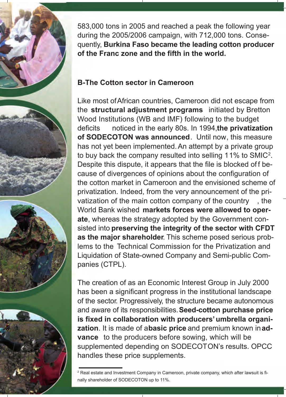

583,000 tons in 2005 and reached a peak the following year during the 2005/2006 campaign, with 712,000 tons. Consequently, **Burkina Faso became the leading cotton producer of the Franc zone and the fifth in the world.**

# **B-The Cotton sector in Cameroon**

Like most of African countries, Cameroon did not escape from the **structural adjustment programs** initiated by Bretton Wood Institutions (WB and IMF) following to the budget deficits noticed in the early 80s. In 1994, **the privatization of SODECOTON was announced**. Until now, this measure has not yet been implemented. An attempt by a private group to buy back the company resulted into selling 11% to SMIC2. Despite this dispute, it appears that the file is blocked of f because of divergences of opinions about the configuration of the cotton market in Cameroon and the envisioned scheme of privatization. Indeed, from the very announcement of the privatization of the main cotton company of the country , the World Bank wished **markets forces were allowed to operate**, whereas the strategy adopted by the Government consisted into **preserving the integrity of the sector with CFDT as the major shareholder**. This scheme posed serious problems to the Technical Commission for the Privatization and Liquidation of State-owned Company and Semi-public Companies (CTPL).

The creation of as an Economic Interest Group in July 2000 has been a significant progress in the institutional landscape of the sector. Progressively, the structure became autonomous and aware of its responsibilities. **Seed-cotton purchase price is fixed in collaboration with producers' umbrella organization**. It is made of abasic price and premium known in ad**vance** to the producers before sowing, which will be supplemented depending on SODECOTON's results. OPCC handles these price supplements.

<sup>&</sup>lt;sup>2</sup> Real estate and Investment Company in Cameroon, private company, which after lawsuit is finally shareholder of SODECOTON up to 11%.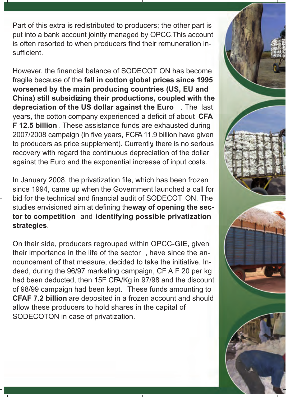Part of this extra is redistributed to producers; the other part is put into a bank account jointly managed by OPCC. This account is often resorted to when producers find their remuneration insufficient.

However, the financial balance of SODECOT ON has become fragile because of the **fall in cotton global prices since 1995 worsened by the main producing countries (US, EU and China) still subsidizing their productions, coupled with the depreciation of the US dollar against the Euro** . The last years, the cotton company experienced a deficit of about **CFA F 12.5 billion**. These assistance funds are exhausted during 2007/2008 campaign (in five years, FCFA 11.9 billion have given to producers as price supplement). Currently there is no serious recovery with regard the continuous depreciation of the dollar against the Euro and the exponential increase of input costs.

In January 2008, the privatization file, which has been frozen since 1994, came up when the Government launched a call for bid for the technical and financial audit of SODECOT ON. The studies envisioned aim at defining the **way of opening the sector to competition** and **identifying possible privatization strategies**.

On their side, producers regrouped within OPCC-GIE, given their importance in the life of the sector , have since the announcement of that measure, decided to take the initiative. Indeed, during the 96/97 marketing campaign, CF A F 20 per kg had been deducted, then 15F CFA/Kg in 97/98 and the discount of 98/99 campaign had been kept. These funds amounting to **CFAF 7.2 billion** are deposited in a frozen account and should allow these producers to hold shares in the capital of SODECOTON in case of privatization.

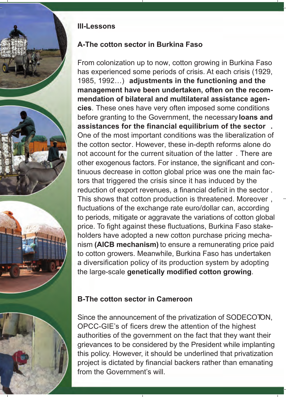

#### **III-Lessons**

# **A-The cotton sector in Burkina Faso**

From colonization up to now, cotton growing in Burkina Faso has experienced some periods of crisis. At each crisis (1929, 1985, 1992…) **adjustments in the functioning and the management have been undertaken, often on the recommendation of bilateral and multilateral assistance agencies**. These ones have very often imposed some conditions before granting to the Government, the necessary **loans and assistances for the financial equilibrium of the sector .** One of the most important conditions was the liberalization of the cotton sector. However, these in-depth reforms alone do not account for the current situation of the latter . There are other exogenous factors. For instance, the significant and continuous decrease in cotton global price was one the main factors that triggered the crisis since it has induced by the reduction of export revenues, a financial deficit in the sector . This shows that cotton production is threatened. Moreover , fluctuations of the exchange rate euro/dollar can, according to periods, mitigate or aggravate the variations of cotton global price. To fight against these fluctuations, Burkina Faso stakeholders have adopted a new cotton purchase pricing mechanism **(AICB mechanism)** to ensure a remunerating price paid to cotton growers. Meanwhile, Burkina Faso has undertaken a diversification policy of its production system by adopting the large-scale **genetically modified cotton growing**.

## **B-The cotton sector in Cameroon**

Since the announcement of the privatization of SODECOTON, OPCC-GIE's of ficers drew the attention of the highest authorities of the government on the fact that they want their grievances to be considered by the President while implanting this policy. However, it should be underlined that privatization project is dictated by financial backers rather than emanating from the Government's will.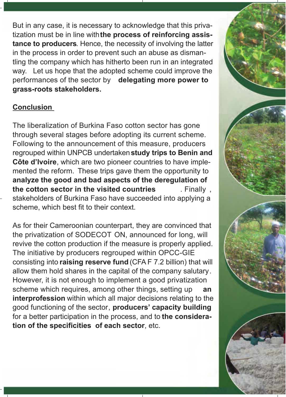But in any case, it is necessary to acknowledge that this privatization must be in line with **the process of reinforcing assistance to producers**. Hence, the necessity of involving the latter in the process in order to prevent such an abuse as dismantling the company which has hitherto been run in an integrated way. Let us hope that the adopted scheme could improve the performances of the sector by **delegating more power to grass-roots stakeholders.**

### **Conclusion**

The liberalization of Burkina Faso cotton sector has gone through several stages before adopting its current scheme. Following to the announcement of this measure, producers regrouped within UNPCB undertaken **study trips to Benin and Côte d'Ivoire**, which are two pioneer countries to have implemented the reform. These trips gave them the opportunity to **analyze the good and bad aspects of the deregulation of the cotton sector in the visited countries** . Finally , stakeholders of Burkina Faso have succeeded into applying a scheme, which best fit to their context.

As for their Cameroonian counterpart, they are convinced that the privatization of SODECOT ON, announced for long, will revive the cotton production if the measure is properly applied. The initiative by producers regrouped within OPCC-GIE consisting into **raising reserve fund** (CFA F 7.2 billion) that will allow them hold shares in the capital of the company salutary. However, it is not enough to implement a good privatization scheme which requires, among other things, setting up **an interprofession** within which all major decisions relating to the good functioning of the sector, **producers' capacity building** for a better participation in the process, and to **the consideration of the specificities of each sector**, etc.

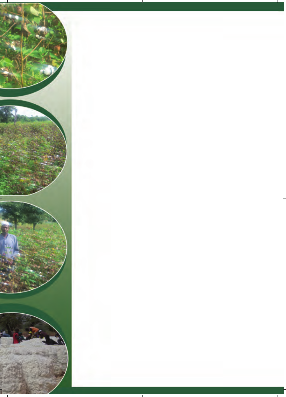